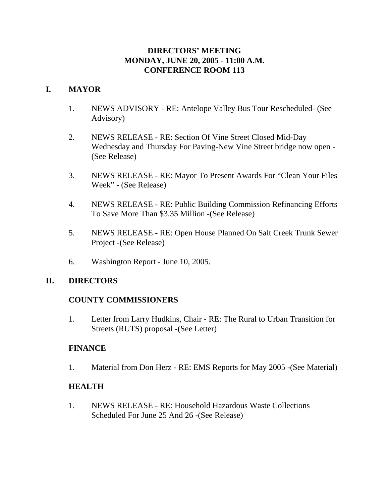### **DIRECTORS' MEETING MONDAY, JUNE 20, 2005 - 11:00 A.M. CONFERENCE ROOM 113**

### **I. MAYOR**

- 1. NEWS ADVISORY RE: Antelope Valley Bus Tour Rescheduled- (See Advisory)
- 2. NEWS RELEASE RE: Section Of Vine Street Closed Mid-Day Wednesday and Thursday For Paving-New Vine Street bridge now open - (See Release)
- 3. NEWS RELEASE RE: Mayor To Present Awards For "Clean Your Files Week" - (See Release)
- 4. NEWS RELEASE RE: Public Building Commission Refinancing Efforts To Save More Than \$3.35 Million -(See Release)
- 5. NEWS RELEASE RE: Open House Planned On Salt Creek Trunk Sewer Project -(See Release)
- 6. Washington Report June 10, 2005.

# **II. DIRECTORS**

# **COUNTY COMMISSIONERS**

1. Letter from Larry Hudkins, Chair - RE: The Rural to Urban Transition for Streets (RUTS) proposal -(See Letter)

### **FINANCE**

1. Material from Don Herz - RE: EMS Reports for May 2005 -(See Material)

### **HEALTH**

1. NEWS RELEASE - RE: Household Hazardous Waste Collections Scheduled For June 25 And 26 -(See Release)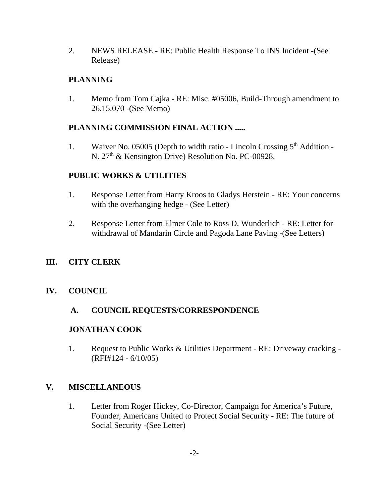2. NEWS RELEASE - RE: Public Health Response To INS Incident -(See Release)

### **PLANNING**

1. Memo from Tom Cajka - RE: Misc. #05006, Build-Through amendment to 26.15.070 -(See Memo)

### **PLANNING COMMISSION FINAL ACTION .....**

1. Waiver No. 05005 (Depth to width ratio - Lincoln Crossing  $5<sup>th</sup>$  Addition -N. 27<sup>th</sup> & Kensington Drive) Resolution No. PC-00928.

# **PUBLIC WORKS & UTILITIES**

- 1. Response Letter from Harry Kroos to Gladys Herstein RE: Your concerns with the overhanging hedge - (See Letter)
- 2. Response Letter from Elmer Cole to Ross D. Wunderlich RE: Letter for withdrawal of Mandarin Circle and Pagoda Lane Paving -(See Letters)

# **III. CITY CLERK**

# **IV. COUNCIL**

### **A. COUNCIL REQUESTS/CORRESPONDENCE**

### **JONATHAN COOK**

1. Request to Public Works & Utilities Department - RE: Driveway cracking - (RFI#124 - 6/10/05)

### **V. MISCELLANEOUS**

1. Letter from Roger Hickey, Co-Director, Campaign for America's Future, Founder, Americans United to Protect Social Security - RE: The future of Social Security -(See Letter)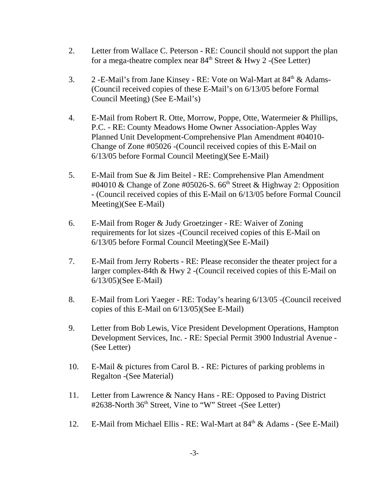- 2. Letter from Wallace C. Peterson RE: Council should not support the plan for a mega-theatre complex near  $84<sup>th</sup>$  Street & Hwy 2 -(See Letter)
- 3. 2 -E-Mail's from Jane Kinsey RE: Vote on Wal-Mart at  $84<sup>th</sup> \& Adams-$ (Council received copies of these E-Mail's on 6/13/05 before Formal Council Meeting) (See E-Mail's)
- 4. E-Mail from Robert R. Otte, Morrow, Poppe, Otte, Watermeier & Phillips, P.C. - RE: County Meadows Home Owner Association-Apples Way Planned Unit Development-Comprehensive Plan Amendment #04010- Change of Zone #05026 -(Council received copies of this E-Mail on 6/13/05 before Formal Council Meeting)(See E-Mail)
- 5. E-Mail from Sue & Jim Beitel RE: Comprehensive Plan Amendment #04010 & Change of Zone #05026-S.  $66<sup>th</sup>$  Street & Highway 2: Opposition - (Council received copies of this E-Mail on 6/13/05 before Formal Council Meeting)(See E-Mail)
- 6. E-Mail from Roger & Judy Groetzinger RE: Waiver of Zoning requirements for lot sizes -(Council received copies of this E-Mail on 6/13/05 before Formal Council Meeting)(See E-Mail)
- 7. E-Mail from Jerry Roberts RE: Please reconsider the theater project for a larger complex-84th & Hwy 2 -(Council received copies of this E-Mail on 6/13/05)(See E-Mail)
- 8. E-Mail from Lori Yaeger RE: Today's hearing 6/13/05 -(Council received copies of this E-Mail on 6/13/05)(See E-Mail)
- 9. Letter from Bob Lewis, Vice President Development Operations, Hampton Development Services, Inc. - RE: Special Permit 3900 Industrial Avenue - (See Letter)
- 10. E-Mail & pictures from Carol B. RE: Pictures of parking problems in Regalton -(See Material)
- 11. Letter from Lawrence & Nancy Hans RE: Opposed to Paving District #2638-North 36<sup>th</sup> Street, Vine to "W" Street -(See Letter)
- 12. E-Mail from Michael Ellis RE: Wal-Mart at  $84<sup>th</sup>$  & Adams (See E-Mail)